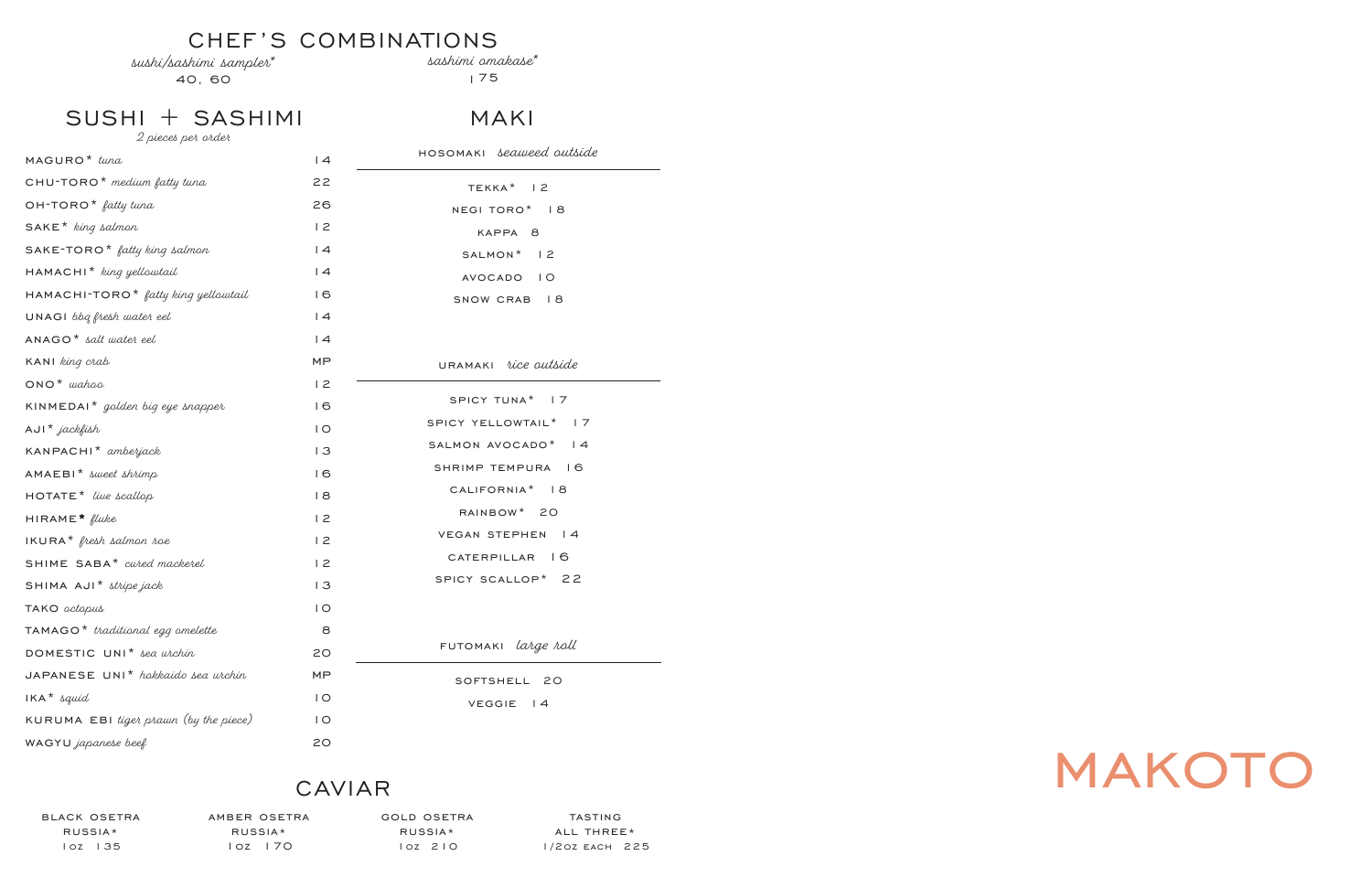# makoto

# CHEF'S COMBINATIONS

sushi/sashimi sampler\*

40, 60

sashimi omakase\*

175

SUSHI + SASHIMI

| 2 pieces per order                              |                |                                 |
|-------------------------------------------------|----------------|---------------------------------|
| MAGURO <sup>*</sup> tuna                        | 4              | HOSOMAKI <i>seaweed</i> outside |
| CHU-TORO <sup>*</sup> medium fatty tuna         | 22             | TEKKA <sup>*</sup> 12           |
| $OH$ -TORO <sup>*</sup> fatty tuna              | 26             | NEGI TORO* 18                   |
| $SAKE*$ king salmon                             | 12             | KAPPA 8                         |
| $SAKE$ -TORO <sup>*</sup> fatty king salmon     | 4              | SALMON* 12                      |
| HAMACHI <sup>*</sup> king yellowtail            | 4              | AVOCADO IO                      |
| HAMACHI-TORO <sup>*</sup> fatty king yellowtail | 16             | SNOW CRAB 18                    |
| UNAGI bbg fresh water eel                       | 4              |                                 |
| $ANAGO*$ salt water eel                         | 4              |                                 |
| KANI king crab                                  | MP             | URAMAKI rice outside            |
| $ONO^*$ wahoo                                   | 12             |                                 |
| KINMEDAI <sup>*</sup> golden big eye snapper    | 16             | SPICY TUNA <sup>*</sup> 17      |
| $AUI^*$ jackfish                                | $\overline{1}$ | SPICY YELLOWTAIL* 17            |
| KANPACHI <sup>*</sup> amberjack                 | 3              | SALMON AVOCADO* 14              |
| $AMAEBI*$ sweet shrimp                          | 16             | SHRIMP TEMPURA 16               |
| $HOTATE*$ live scallop                          | 8              | CALIFORNIA <sup>*</sup> 18      |
| $HIRAME*$ fluke                                 | 12             | RAINBOW* 20                     |
| $IKURA*$ fresh salmon roe                       | 12             | VEGAN STEPHEN<br> 4             |
| SHIME SABA* cured mackerel                      | 12             | CATERPILLAR 16                  |
| SHIMA AJI* stripe jack                          | 13             | SPICY SCALLOP* 22               |
| TAKO <i>octopus</i>                             | $\overline{O}$ |                                 |
| $TAMAGO*$ traditional egg omelette              | 8              |                                 |
| DOMESTIC UNI <sup>*</sup> sea wichin            | 20             | FUTOMAKI <i>large roll</i>      |
| JAPANESE UNI <sup>*</sup> hokkaido sea urchin   | MP             | SOFTSHELL 20                    |
| $IKA^*$ squid                                   | $\overline{1}$ | <b>VEGGIE</b><br>$\vert$ 4      |
| KURUMA EBI tiget prawn (by the piece)           | $\overline{1}$ |                                 |
| WAGYU japanese beef                             | 20             |                                 |

# CAVIAR

black osetra russia\* 1oz 135

amber osetra russia\* 1oz 170

gold osetra russia\* 1oz 210

tasting all three\* 1/2oz each 225

# MAKI